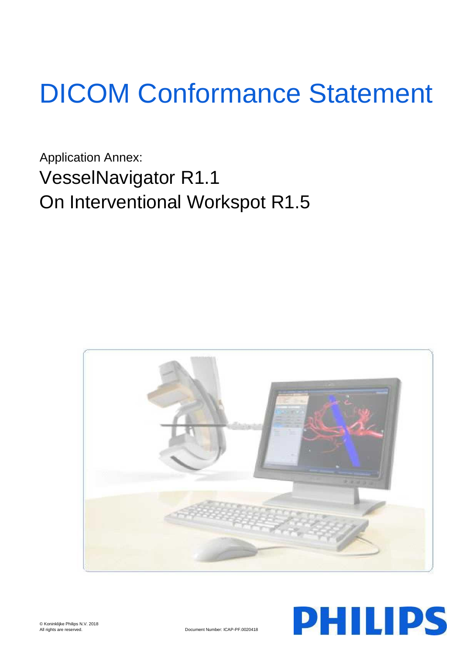# DICOM Conformance Statement

Application Annex: VesselNavigator R1.1 On Interventional Workspot R1.5



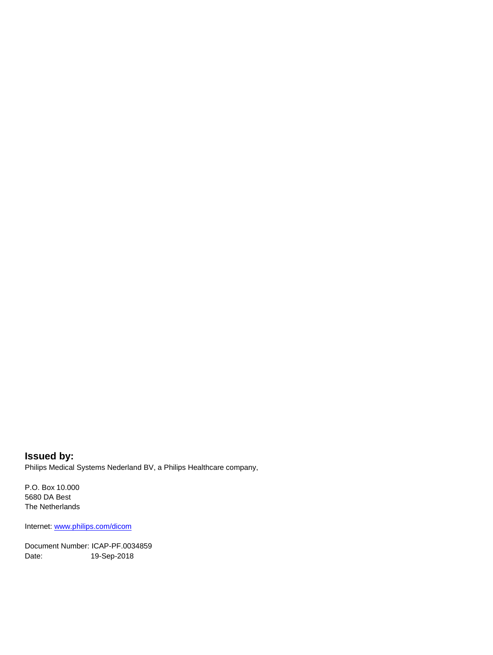**Issued by:** Philips Medical Systems Nederland BV, a Philips Healthcare company,

P.O. Box 10.000 5680 DA Best The Netherlands

Internet[: www.philips.com/dicom](www.philips.com/dicom)

Document Number: ICAP-PF.0034859 Date: 19-Sep-2018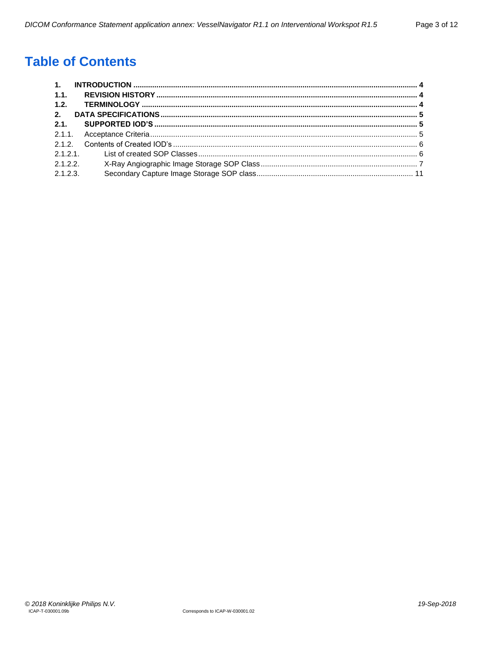## **Table of Contents**

| 1.1.     |  |
|----------|--|
| 1.2.     |  |
| 2.       |  |
| 2.1.     |  |
|          |  |
|          |  |
|          |  |
| 2.1.2.2  |  |
| 2.1.2.3. |  |
|          |  |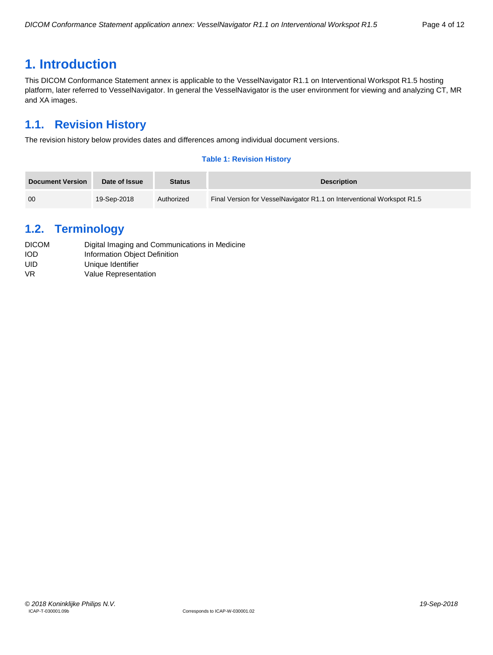## <span id="page-3-0"></span>**1. Introduction**

This DICOM Conformance Statement annex is applicable to the VesselNavigator R1.1 on Interventional Workspot R1.5 hosting platform, later referred to VesselNavigator. In general the VesselNavigator is the user environment for viewing and analyzing CT, MR and XA images.

## <span id="page-3-1"></span>**1.1. Revision History**

The revision history below provides dates and differences among individual document versions.

#### **Table 1: Revision History**

| <b>Document Version</b> | Date of Issue | <b>Status</b> | <b>Description</b>                                                     |
|-------------------------|---------------|---------------|------------------------------------------------------------------------|
| 00                      | 19-Sep-2018   | Authorized    | Final Version for VesselNavigator R1.1 on Interventional Workspot R1.5 |

## <span id="page-3-2"></span>**1.2. Terminology**

| <b>DICOM</b> | Digital Imaging and Communications in Medicine |
|--------------|------------------------------------------------|
| <b>IOD</b>   | Information Object Definition                  |
| UID          | Unique Identifier                              |
| VR.          | Value Representation                           |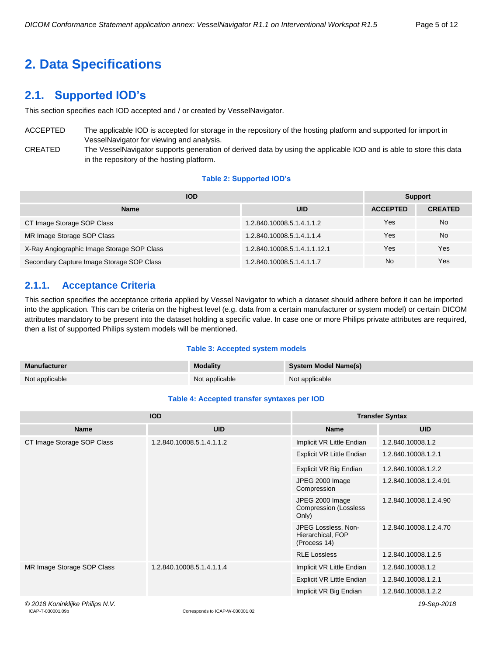## <span id="page-4-0"></span>**2. Data Specifications**

## <span id="page-4-1"></span>**2.1. Supported IOD's**

This section specifies each IOD accepted and / or created by VesselNavigator.

ACCEPTED The applicable IOD is accepted for storage in the repository of the hosting platform and supported for import in VesselNavigator for viewing and analysis.

CREATED The VesselNavigator supports generation of derived data by using the applicable IOD and is able to store this data in the repository of the hosting platform.

#### **Table 2: Supported IOD's**

| <b>IOD</b>                                 | <b>Support</b>               |                 |                |
|--------------------------------------------|------------------------------|-----------------|----------------|
| <b>Name</b>                                | <b>UID</b>                   | <b>ACCEPTED</b> | <b>CREATED</b> |
| CT Image Storage SOP Class                 | 1.2.840.10008.5.1.4.1.1.2    | Yes             | No             |
| MR Image Storage SOP Class                 | 1.2.840.10008.5.1.4.1.1.4    | Yes             | No             |
| X-Ray Angiographic Image Storage SOP Class | 1.2.840.10008.5.1.4.1.1.12.1 | Yes             | Yes            |
| Secondary Capture Image Storage SOP Class  | 1.2.840.10008.5.1.4.1.1.7    | No              | Yes            |

#### <span id="page-4-2"></span>**2.1.1. Acceptance Criteria**

This section specifies the acceptance criteria applied by Vessel Navigator to which a dataset should adhere before it can be imported into the application. This can be criteria on the highest level (e.g. data from a certain manufacturer or system model) or certain DICOM attributes mandatory to be present into the dataset holding a specific value. In case one or more Philips private attributes are required, then a list of supported Philips system models will be mentioned.

#### **Table 3: Accepted system models**

| <b>Manufacturer</b> | <b>Modality</b> | <b>System Model Name(s)</b> |
|---------------------|-----------------|-----------------------------|
| Not applicable      | Not applicable  | Not applicable              |

#### **Table 4: Accepted transfer syntaxes per IOD**

|                                 | <b>IOD</b>                                             | <b>Transfer Syntax</b>                                   |                        |  |
|---------------------------------|--------------------------------------------------------|----------------------------------------------------------|------------------------|--|
| <b>Name</b>                     | <b>UID</b>                                             | <b>Name</b>                                              | <b>UID</b>             |  |
| CT Image Storage SOP Class      | Implicit VR Little Endian<br>1.2.840.10008.5.1.4.1.1.2 |                                                          | 1.2.840.10008.1.2      |  |
|                                 |                                                        | Explicit VR Little Endian                                | 1.2.840.10008.1.2.1    |  |
|                                 |                                                        | Explicit VR Big Endian                                   | 1.2.840.10008.1.2.2    |  |
|                                 |                                                        | JPEG 2000 Image<br>Compression                           | 1.2.840.10008.1.2.4.91 |  |
|                                 |                                                        | JPEG 2000 Image<br><b>Compression (Lossless</b><br>Only) | 1.2.840.10008.1.2.4.90 |  |
|                                 |                                                        | JPEG Lossless, Non-<br>Hierarchical, FOP<br>(Process 14) | 1.2.840.10008.1.2.4.70 |  |
|                                 |                                                        | <b>RLE Lossless</b>                                      | 1.2.840.10008.1.2.5    |  |
| MR Image Storage SOP Class      | 1.2.840.10008.5.1.4.1.1.4                              | Implicit VR Little Endian                                | 1.2.840.10008.1.2      |  |
|                                 |                                                        | Explicit VR Little Endian                                | 1.2.840.10008.1.2.1    |  |
|                                 |                                                        | Implicit VR Big Endian                                   | 1.2.840.10008.1.2.2    |  |
| © 2018 Koninklijke Philips N.V. |                                                        |                                                          | 19-Sep-2018            |  |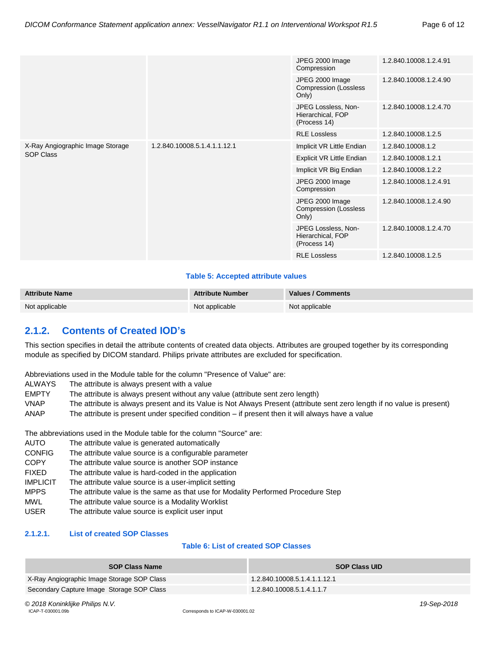| JPEG 2000 Image<br>1.2.840.10008.1.2.4.91<br>Compression<br>JPEG 2000 Image<br>1.2.840.10008.1.2.4.90<br><b>Compression (Lossless</b><br>Only)<br>JPEG Lossless, Non-<br>1.2.840.10008.1.2.4.70<br>Hierarchical, FOP<br>(Process 14)<br><b>RLE Lossless</b><br>1.2.840.10008.1.2.5 |
|------------------------------------------------------------------------------------------------------------------------------------------------------------------------------------------------------------------------------------------------------------------------------------|
|                                                                                                                                                                                                                                                                                    |
|                                                                                                                                                                                                                                                                                    |
|                                                                                                                                                                                                                                                                                    |
|                                                                                                                                                                                                                                                                                    |
| X-Ray Angiographic Image Storage<br>1.2.840.10008.5.1.4.1.1.12.1<br>Implicit VR Little Endian<br>1.2.840.10008.1.2                                                                                                                                                                 |
| <b>SOP Class</b><br>Explicit VR Little Endian<br>1.2.840.10008.1.2.1                                                                                                                                                                                                               |
| Implicit VR Big Endian<br>1.2.840.10008.1.2.2                                                                                                                                                                                                                                      |
| JPEG 2000 Image<br>1.2.840.10008.1.2.4.91<br>Compression                                                                                                                                                                                                                           |
| JPEG 2000 Image<br>1.2.840.10008.1.2.4.90<br><b>Compression (Lossless</b><br>Only)                                                                                                                                                                                                 |
| JPEG Lossless, Non-<br>1.2.840.10008.1.2.4.70<br>Hierarchical, FOP<br>(Process 14)                                                                                                                                                                                                 |
| <b>RLE Lossless</b><br>1.2.840.10008.1.2.5                                                                                                                                                                                                                                         |

#### **Table 5: Accepted attribute values**

| <b>Attribute Name</b> | <b>Attribute Number</b> | Values / Comments |
|-----------------------|-------------------------|-------------------|
| Not applicable        | Not applicable          | Not applicable    |

### <span id="page-5-0"></span>**2.1.2. Contents of Created IOD's**

This section specifies in detail the attribute contents of created data objects. Attributes are grouped together by its corresponding module as specified by DICOM standard. Philips private attributes are excluded for specification.

Abbreviations used in the Module table for the column "Presence of Value" are:

- ALWAYS The attribute is always present with a value
- EMPTY The attribute is always present without any value (attribute sent zero length)
- VNAP The attribute is always present and its Value is Not Always Present (attribute sent zero length if no value is present)
- ANAP The attribute is present under specified condition if present then it will always have a value

The abbreviations used in the Module table for the column "Source" are:

- AUTO The attribute value is generated automatically
- CONFIG The attribute value source is a configurable parameter
- COPY The attribute value source is another SOP instance
- FIXED The attribute value is hard-coded in the application
- IMPLICIT The attribute value source is a user-implicit setting
- MPPS The attribute value is the same as that use for Modality Performed Procedure Step
- MWL The attribute value source is a Modality Worklist
- USER The attribute value source is explicit user input

#### <span id="page-5-1"></span>**2.1.2.1. List of created SOP Classes**

#### **Table 6: List of created SOP Classes**

| <b>SOP Class Name</b>                      | <b>SOP Class UID</b>         |
|--------------------------------------------|------------------------------|
| X-Ray Angiographic Image Storage SOP Class | 1.2.840.10008.5.1.4.1.1.12.1 |
| Secondary Capture Image Storage SOP Class  | 1.2.840.10008.5.1.4.1.1.7    |

*© 2018 Koninklijke Philips N.V. 19-Sep-2018*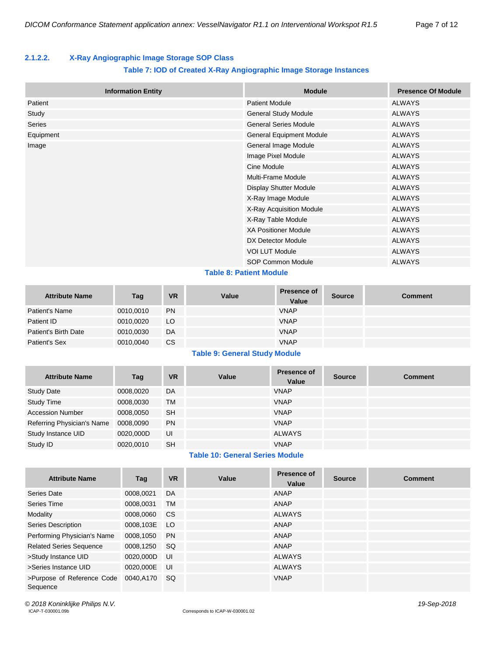#### <span id="page-6-0"></span>**2.1.2.2. X-Ray Angiographic Image Storage SOP Class**

#### **Table 7: IOD of Created X-Ray Angiographic Image Storage Instances**

| <b>Information Entity</b> | <b>Module</b>                         | <b>Presence Of Module</b> |
|---------------------------|---------------------------------------|---------------------------|
| Patient                   | <b>Patient Module</b>                 | <b>ALWAYS</b>             |
| Study                     | <b>General Study Module</b>           | <b>ALWAYS</b>             |
| Series                    | <b>General Series Module</b>          | <b>ALWAYS</b>             |
| Equipment                 | <b>General Equipment Module</b>       | <b>ALWAYS</b>             |
| Image                     | General Image Module<br><b>ALWAYS</b> |                           |
|                           | Image Pixel Module                    | <b>ALWAYS</b>             |
|                           | Cine Module                           | <b>ALWAYS</b>             |
|                           | Multi-Frame Module                    | <b>ALWAYS</b>             |
|                           | <b>Display Shutter Module</b>         | <b>ALWAYS</b>             |
|                           | X-Ray Image Module                    | <b>ALWAYS</b>             |
|                           | X-Ray Acquisition Module              | <b>ALWAYS</b>             |
|                           | X-Ray Table Module                    | <b>ALWAYS</b>             |
|                           | <b>XA Positioner Module</b>           | <b>ALWAYS</b>             |
|                           | DX Detector Module                    | <b>ALWAYS</b>             |
|                           | <b>VOI LUT Module</b>                 | <b>ALWAYS</b>             |
|                           | SOP Common Module                     | <b>ALWAYS</b>             |
|                           | アントリン めいわいけいいん あんいけいしゃ                |                           |

#### **Table 8: Patient Module**

| <b>Attribute Name</b> | Tag       | <b>VR</b> | Value | <b>Presence of</b><br>Value | <b>Source</b> | <b>Comment</b> |
|-----------------------|-----------|-----------|-------|-----------------------------|---------------|----------------|
| Patient's Name        | 0010,0010 | <b>PN</b> |       | <b>VNAP</b>                 |               |                |
| Patient ID            | 0010,0020 | LO        |       | <b>VNAP</b>                 |               |                |
| Patient's Birth Date  | 0010,0030 | DA        |       | <b>VNAP</b>                 |               |                |
| Patient's Sex         | 0010,0040 | CS        |       | <b>VNAP</b>                 |               |                |

#### **Table 9: General Study Module**

| <b>Attribute Name</b>      | Tag       | <b>VR</b> | Value | <b>Presence of</b><br>Value | <b>Source</b> | <b>Comment</b> |
|----------------------------|-----------|-----------|-------|-----------------------------|---------------|----------------|
| <b>Study Date</b>          | 0008,0020 | DA        |       | <b>VNAP</b>                 |               |                |
| <b>Study Time</b>          | 0008,0030 | TM        |       | <b>VNAP</b>                 |               |                |
| <b>Accession Number</b>    | 0008,0050 | <b>SH</b> |       | <b>VNAP</b>                 |               |                |
| Referring Physician's Name | 0008,0090 | <b>PN</b> |       | <b>VNAP</b>                 |               |                |
| Study Instance UID         | 0020,000D | UI        |       | <b>ALWAYS</b>               |               |                |
| Study ID                   | 0020,0010 | <b>SH</b> |       | <b>VNAP</b>                 |               |                |

#### **Table 10: General Series Module**

| <b>Attribute Name</b>                  |              | <b>VR</b> | Value | <b>Presence of</b> |               |                |
|----------------------------------------|--------------|-----------|-------|--------------------|---------------|----------------|
|                                        | Tag          |           |       | Value              | <b>Source</b> | <b>Comment</b> |
| Series Date                            | 0008,0021    | DA        |       | ANAP               |               |                |
| Series Time                            | 0008,0031    | <b>TM</b> |       | <b>ANAP</b>        |               |                |
| Modality                               | 0008,0060 CS |           |       | <b>ALWAYS</b>      |               |                |
| Series Description                     | 0008,103E LO |           |       | ANAP               |               |                |
| Performing Physician's Name            | 0008,1050    | <b>PN</b> |       | ANAP               |               |                |
| <b>Related Series Sequence</b>         | 0008.1250    | -SQ       |       | ANAP               |               |                |
| >Study Instance UID                    | 0020,000D    | - UI      |       | <b>ALWAYS</b>      |               |                |
| >Series Instance UID                   | 0020,000E    | <b>UI</b> |       | <b>ALWAYS</b>      |               |                |
| >Purpose of Reference Code<br>Sequence | 0040,A170 SQ |           |       | <b>VNAP</b>        |               |                |

*© 2018 Koninklijke Philips N.V. 19-Sep-2018*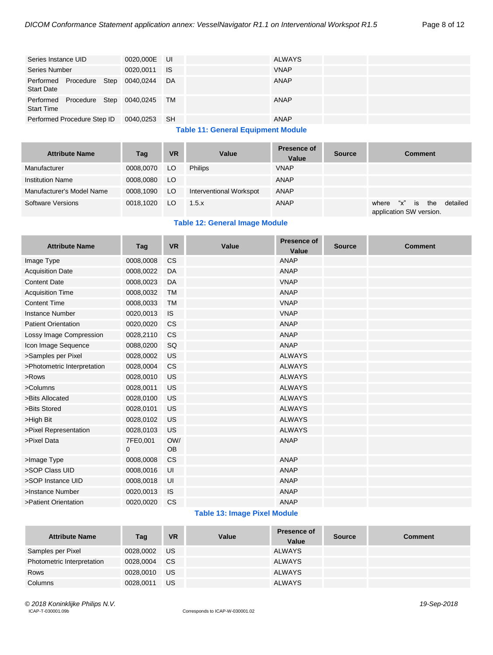| Series Instance UID                                        | 0020,000E UI |    | <b>ALWAYS</b> |  |
|------------------------------------------------------------|--------------|----|---------------|--|
| Series Number                                              | 0020.0011 IS |    | <b>VNAP</b>   |  |
| Performed Procedure Step 0040,0244<br><b>Start Date</b>    |              | DA | ANAP          |  |
| Performed Procedure Step 0040,0245 TM<br><b>Start Time</b> |              |    | ANAP          |  |
| Performed Procedure Step ID                                | 0040,0253 SH |    | ANAP          |  |

#### **Table 11: General Equipment Module**

| <b>Attribute Name</b>     | Tag       | <b>VR</b> | Value                   | <b>Presence of</b><br>Value | <b>Source</b> | <b>Comment</b>                                                      |
|---------------------------|-----------|-----------|-------------------------|-----------------------------|---------------|---------------------------------------------------------------------|
| Manufacturer              | 0008,0070 | LO        | <b>Philips</b>          | <b>VNAP</b>                 |               |                                                                     |
| <b>Institution Name</b>   | 0008.0080 | LO.       |                         | <b>ANAP</b>                 |               |                                                                     |
| Manufacturer's Model Name | 0008,1090 | LO        | Interventional Workspot | ANAP                        |               |                                                                     |
| Software Versions         | 0018.1020 | LO.       | 1.5.x                   | <b>ANAP</b>                 |               | the<br>"х"<br>detailed<br>where<br>∣ is:<br>application SW version. |

#### **Table 12: General Image Module**

| <b>Attribute Name</b>       | Tag                      | <b>VR</b>        | Value | <b>Presence of</b><br><b>Value</b> | <b>Source</b> | <b>Comment</b> |
|-----------------------------|--------------------------|------------------|-------|------------------------------------|---------------|----------------|
| Image Type                  | 0008,0008                | <b>CS</b>        |       | <b>ANAP</b>                        |               |                |
| <b>Acquisition Date</b>     | 0008,0022                | DA               |       | <b>ANAP</b>                        |               |                |
| <b>Content Date</b>         | 0008,0023                | DA               |       | <b>VNAP</b>                        |               |                |
| <b>Acquisition Time</b>     | 0008,0032                | <b>TM</b>        |       | <b>ANAP</b>                        |               |                |
| <b>Content Time</b>         | 0008,0033                | <b>TM</b>        |       | <b>VNAP</b>                        |               |                |
| <b>Instance Number</b>      | 0020,0013                | <b>IS</b>        |       | <b>VNAP</b>                        |               |                |
| <b>Patient Orientation</b>  | 0020,0020                | <b>CS</b>        |       | <b>ANAP</b>                        |               |                |
| Lossy Image Compression     | 0028,2110                | <b>CS</b>        |       | <b>ANAP</b>                        |               |                |
| Icon Image Sequence         | 0088,0200                | SQ               |       | <b>ANAP</b>                        |               |                |
| >Samples per Pixel          | 0028,0002                | US               |       | <b>ALWAYS</b>                      |               |                |
| >Photometric Interpretation | 0028,0004                | <b>CS</b>        |       | <b>ALWAYS</b>                      |               |                |
| >Rows                       | 0028,0010                | US               |       | <b>ALWAYS</b>                      |               |                |
| >Columns                    | 0028,0011                | US               |       | <b>ALWAYS</b>                      |               |                |
| >Bits Allocated             | 0028,0100                | US               |       | <b>ALWAYS</b>                      |               |                |
| >Bits Stored                | 0028,0101                | <b>US</b>        |       | <b>ALWAYS</b>                      |               |                |
| >High Bit                   | 0028,0102                | US               |       | <b>ALWAYS</b>                      |               |                |
| >Pixel Representation       | 0028,0103                | <b>US</b>        |       | <b>ALWAYS</b>                      |               |                |
| >Pixel Data                 | 7FE0,001<br>$\mathbf{0}$ | OW/<br><b>OB</b> |       | <b>ANAP</b>                        |               |                |
| >Image Type                 | 0008,0008                | <b>CS</b>        |       | <b>ANAP</b>                        |               |                |
| >SOP Class UID              | 0008,0016                | UI               |       | <b>ANAP</b>                        |               |                |
| >SOP Instance UID           | 0008,0018                | UI               |       | <b>ANAP</b>                        |               |                |
| >Instance Number            | 0020,0013                | IS.              |       | <b>ANAP</b>                        |               |                |
| >Patient Orientation        | 0020,0020                | <b>CS</b>        |       | <b>ANAP</b>                        |               |                |

#### **Table 13: Image Pixel Module**

| <b>Attribute Name</b>      | Tag          | <b>VR</b> | Value | <b>Presence of</b><br>Value | <b>Source</b> | <b>Comment</b> |
|----------------------------|--------------|-----------|-------|-----------------------------|---------------|----------------|
| Samples per Pixel          | 0028,0002 US |           |       | <b>ALWAYS</b>               |               |                |
| Photometric Interpretation | 0028,0004    | <b>CS</b> |       | <b>ALWAYS</b>               |               |                |
| Rows                       | 0028,0010    | <b>US</b> |       | <b>ALWAYS</b>               |               |                |
| Columns                    | 0028,0011    | US        |       | <b>ALWAYS</b>               |               |                |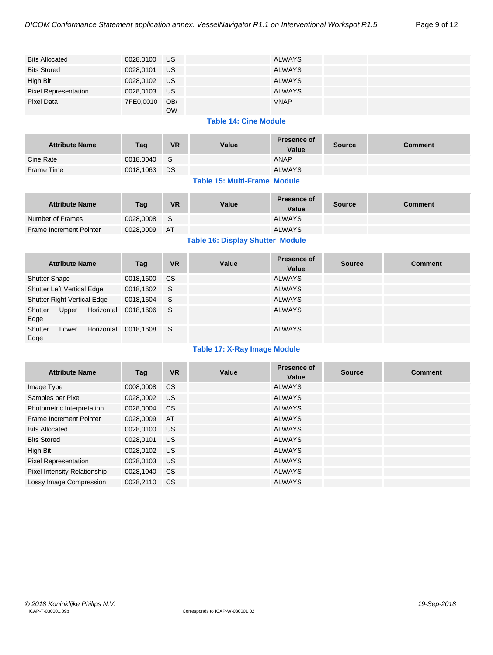| <b>Bits Allocated</b>       | 0028,0100 US  |           | ALWAYS        |  |
|-----------------------------|---------------|-----------|---------------|--|
| <b>Bits Stored</b>          | 0028,0101 US  |           | ALWAYS        |  |
| High Bit                    | 0028,0102 US  |           | ALWAYS        |  |
| <b>Pixel Representation</b> | 0028,0103 US  |           | <b>ALWAYS</b> |  |
| Pixel Data                  | 7FE0,0010 OB/ | <b>OW</b> | <b>VNAP</b>   |  |

#### **Table 14: Cine Module**

| <b>Attribute Name</b> | Tag          | <b>VR</b> | Value | <b>Presence of</b><br>Value | <b>Source</b> | Comment |
|-----------------------|--------------|-----------|-------|-----------------------------|---------------|---------|
| Cine Rate             | 0018,0040 IS |           |       | ANAP                        |               |         |
| <b>Frame Time</b>     | 0018,1063 DS |           |       | <b>ALWAYS</b>               |               |         |

#### **Table 15: Multi-Frame Module**

| <b>Attribute Name</b>          | Tag          | <b>VR</b> | Value | <b>Presence of</b><br>Value | <b>Source</b> | Comment |
|--------------------------------|--------------|-----------|-------|-----------------------------|---------------|---------|
| Number of Frames               | 0028,0008 IS |           |       | <b>ALWAYS</b>               |               |         |
| <b>Frame Increment Pointer</b> | 0028,0009    | <b>AT</b> |       | <b>ALWAYS</b>               |               |         |

#### **Table 16: Display Shutter Module**

| <b>Attribute Name</b>              |            | Tag          | <b>VR</b> | Value | <b>Presence of</b><br>Value | <b>Source</b> | <b>Comment</b> |
|------------------------------------|------------|--------------|-----------|-------|-----------------------------|---------------|----------------|
| <b>Shutter Shape</b>               |            | 0018,1600    | <b>CS</b> |       | <b>ALWAYS</b>               |               |                |
| Shutter Left Vertical Edge         |            | 0018,1602    | <b>IS</b> |       | <b>ALWAYS</b>               |               |                |
| <b>Shutter Right Vertical Edge</b> |            | 0018,1604    | - IS      |       | <b>ALWAYS</b>               |               |                |
| Shutter<br>Upper<br>Edge           | Horizontal | 0018.1606 IS |           |       | <b>ALWAYS</b>               |               |                |
| Shutter<br>Lower<br>Edge           | Horizontal | 0018.1608    | ⊟ IS      |       | <b>ALWAYS</b>               |               |                |

#### **Table 17: X-Ray Image Module**

| <b>Attribute Name</b>               | Tag       | <b>VR</b> | Value | <b>Presence of</b><br>Value | <b>Source</b> | <b>Comment</b> |
|-------------------------------------|-----------|-----------|-------|-----------------------------|---------------|----------------|
| Image Type                          | 0008,0008 | CS.       |       | <b>ALWAYS</b>               |               |                |
| Samples per Pixel                   | 0028,0002 | US.       |       | <b>ALWAYS</b>               |               |                |
| Photometric Interpretation          | 0028.0004 | CS.       |       | <b>ALWAYS</b>               |               |                |
| <b>Frame Increment Pointer</b>      | 0028,0009 | AT        |       | <b>ALWAYS</b>               |               |                |
| <b>Bits Allocated</b>               | 0028,0100 | US.       |       | <b>ALWAYS</b>               |               |                |
| <b>Bits Stored</b>                  | 0028,0101 | US.       |       | <b>ALWAYS</b>               |               |                |
| High Bit                            | 0028.0102 | US.       |       | <b>ALWAYS</b>               |               |                |
| Pixel Representation                | 0028,0103 | US.       |       | <b>ALWAYS</b>               |               |                |
| <b>Pixel Intensity Relationship</b> | 0028,1040 | <b>CS</b> |       | <b>ALWAYS</b>               |               |                |
| Lossy Image Compression             | 0028.2110 | CS.       |       | <b>ALWAYS</b>               |               |                |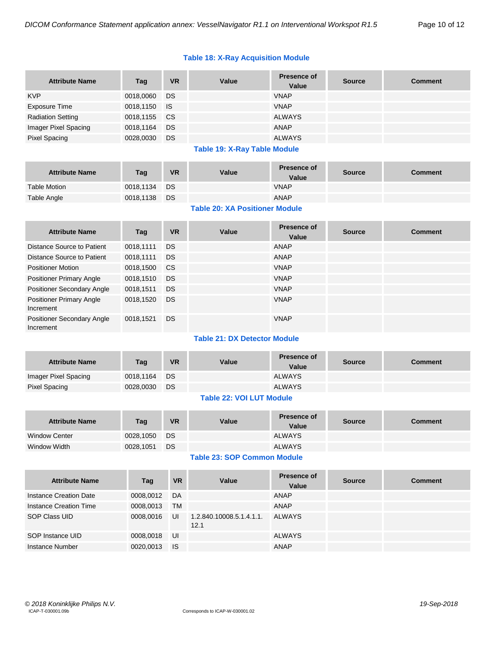#### **Table 18: X-Ray Acquisition Module**

| <b>Attribute Name</b>    | Tag          | <b>VR</b> | Value | <b>Presence of</b><br>Value | <b>Source</b> | <b>Comment</b> |
|--------------------------|--------------|-----------|-------|-----------------------------|---------------|----------------|
| <b>KVP</b>               | 0018,0060 DS |           |       | <b>VNAP</b>                 |               |                |
| Exposure Time            | 0018,1150 IS |           |       | <b>VNAP</b>                 |               |                |
| <b>Radiation Setting</b> | 0018,1155 CS |           |       | <b>ALWAYS</b>               |               |                |
| Imager Pixel Spacing     | 0018,1164    | DS        |       | ANAP                        |               |                |
| <b>Pixel Spacing</b>     | 0028,0030    | <b>DS</b> |       | <b>ALWAYS</b>               |               |                |

#### **Table 19: X-Ray Table Module**

| <b>Attribute Name</b> | Tag          | <b>VR</b> | Value | <b>Presence of</b><br>Value | <b>Source</b> | Comment |
|-----------------------|--------------|-----------|-------|-----------------------------|---------------|---------|
| Table Motion          | 0018,1134 DS |           |       | <b>VNAP</b>                 |               |         |
| Table Angle           | 0018,1138 DS |           |       | <b>ANAP</b>                 |               |         |

#### **Table 20: XA Positioner Module**

| <b>Attribute Name</b>                          | Tag       | <b>VR</b> | Value | Presence of<br>Value | <b>Source</b> | <b>Comment</b> |
|------------------------------------------------|-----------|-----------|-------|----------------------|---------------|----------------|
| Distance Source to Patient                     | 0018,1111 | DS        |       | ANAP                 |               |                |
| Distance Source to Patient                     | 0018,1111 | DS        |       | ANAP                 |               |                |
| <b>Positioner Motion</b>                       | 0018,1500 | CS.       |       | <b>VNAP</b>          |               |                |
| <b>Positioner Primary Angle</b>                | 0018,1510 | DS        |       | <b>VNAP</b>          |               |                |
| Positioner Secondary Angle                     | 0018,1511 | DS        |       | <b>VNAP</b>          |               |                |
| <b>Positioner Primary Angle</b><br>Increment   | 0018.1520 | DS        |       | <b>VNAP</b>          |               |                |
| <b>Positioner Secondary Angle</b><br>Increment | 0018,1521 | DS        |       | <b>VNAP</b>          |               |                |

#### **Table 21: DX Detector Module**

| <b>Attribute Name</b> | Tag          | <b>VR</b> | Value | <b>Presence of</b><br>Value | <b>Source</b> | <b>Comment</b> |
|-----------------------|--------------|-----------|-------|-----------------------------|---------------|----------------|
| Imager Pixel Spacing  | 0018.1164 DS |           |       | <b>ALWAYS</b>               |               |                |
| <b>Pixel Spacing</b>  | 0028.0030    | <b>DS</b> |       | <b>ALWAYS</b>               |               |                |
|                       |              |           |       |                             |               |                |

#### **Table 22: VOI LUT Module**

| <b>Attribute Name</b> | Tag          | <b>VR</b> | Value | <b>Presence of</b><br>Value | <b>Source</b> | <b>Comment</b> |
|-----------------------|--------------|-----------|-------|-----------------------------|---------------|----------------|
| <b>Window Center</b>  | 0028.1050 DS |           |       | <b>ALWAYS</b>               |               |                |
| Window Width          | 0028,1051    | DS        |       | <b>ALWAYS</b>               |               |                |

#### **Table 23: SOP Common Module**

| <b>Attribute Name</b>  | Tag       | <b>VR</b> | Value                            | Presence of<br>Value | <b>Source</b> | <b>Comment</b> |
|------------------------|-----------|-----------|----------------------------------|----------------------|---------------|----------------|
| Instance Creation Date | 0008,0012 | DA        |                                  | ANAP                 |               |                |
| Instance Creation Time | 0008,0013 | TM        |                                  | ANAP                 |               |                |
| SOP Class UID          | 0008,0016 | UI        | 1.2.840.10008.5.1.4.1.1.<br>12.1 | ALWAYS               |               |                |
| SOP Instance UID       | 0008,0018 | UI        |                                  | <b>ALWAYS</b>        |               |                |
| Instance Number        | 0020,0013 | <b>IS</b> |                                  | ANAP                 |               |                |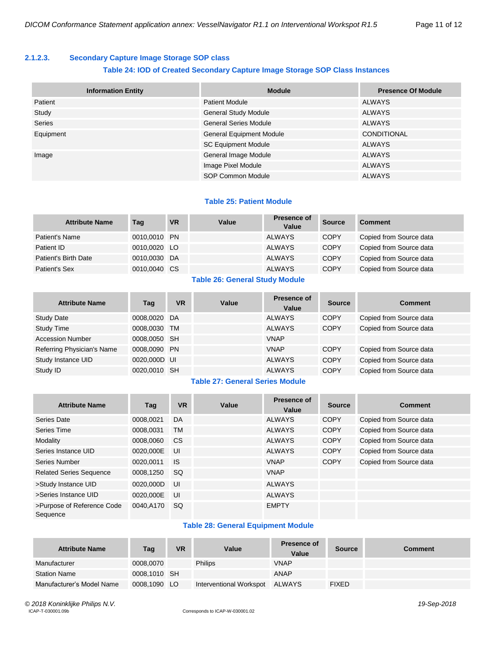#### <span id="page-10-0"></span>**2.1.2.3. Secondary Capture Image Storage SOP class**

#### **Table 24: IOD of Created Secondary Capture Image Storage SOP Class Instances**

| <b>Information Entity</b> | <b>Module</b>                   | <b>Presence Of Module</b> |
|---------------------------|---------------------------------|---------------------------|
| Patient                   | <b>Patient Module</b>           | ALWAYS                    |
| Study                     | <b>General Study Module</b>     | ALWAYS                    |
| <b>Series</b>             | <b>General Series Module</b>    | <b>ALWAYS</b>             |
| Equipment                 | <b>General Equipment Module</b> | <b>CONDITIONAL</b>        |
|                           | <b>SC Equipment Module</b>      | <b>ALWAYS</b>             |
| Image                     | General Image Module            | <b>ALWAYS</b>             |
|                           | Image Pixel Module              | <b>ALWAYS</b>             |
|                           | SOP Common Module               | <b>ALWAYS</b>             |

#### **Table 25: Patient Module**

| <b>Attribute Name</b> | Tag          | VR | Value | Presence of<br>Value | <b>Source</b> | <b>Comment</b>          |
|-----------------------|--------------|----|-------|----------------------|---------------|-------------------------|
| Patient's Name        | 0010,0010 PN |    |       | <b>ALWAYS</b>        | <b>COPY</b>   | Copied from Source data |
| Patient ID            | 0010,0020 LO |    |       | <b>ALWAYS</b>        | <b>COPY</b>   | Copied from Source data |
| Patient's Birth Date  | 0010,0030 DA |    |       | <b>ALWAYS</b>        | <b>COPY</b>   | Copied from Source data |
| Patient's Sex         | 0010,0040 CS |    |       | <b>ALWAYS</b>        | <b>COPY</b>   | Copied from Source data |

#### **Table 26: General Study Module**

| <b>Attribute Name</b>      | Tag          | <b>VR</b> | Value | Presence of<br>Value | <b>Source</b> | <b>Comment</b>          |
|----------------------------|--------------|-----------|-------|----------------------|---------------|-------------------------|
| <b>Study Date</b>          | 0008,0020 DA |           |       | <b>ALWAYS</b>        | <b>COPY</b>   | Copied from Source data |
| <b>Study Time</b>          | 0008,0030 TM |           |       | <b>ALWAYS</b>        | <b>COPY</b>   | Copied from Source data |
| <b>Accession Number</b>    | 0008,0050 SH |           |       | <b>VNAP</b>          |               |                         |
| Referring Physician's Name | 0008,0090 PN |           |       | <b>VNAP</b>          | <b>COPY</b>   | Copied from Source data |
| Study Instance UID         | 0020,000D UI |           |       | <b>ALWAYS</b>        | <b>COPY</b>   | Copied from Source data |
| Study ID                   | 0020,0010 SH |           |       | <b>ALWAYS</b>        | <b>COPY</b>   | Copied from Source data |

#### **Table 27: General Series Module**

| <b>Attribute Name</b>                  | Tag       | <b>VR</b> | Value | Presence of<br>Value | <b>Source</b> | <b>Comment</b>          |
|----------------------------------------|-----------|-----------|-------|----------------------|---------------|-------------------------|
| Series Date                            | 0008,0021 | DA        |       | <b>ALWAYS</b>        | <b>COPY</b>   | Copied from Source data |
| Series Time                            | 0008.0031 | <b>TM</b> |       | <b>ALWAYS</b>        | <b>COPY</b>   | Copied from Source data |
| Modality                               | 0008,0060 | <b>CS</b> |       | <b>ALWAYS</b>        | <b>COPY</b>   | Copied from Source data |
| Series Instance UID                    | 0020.000E | UI        |       | <b>ALWAYS</b>        | <b>COPY</b>   | Copied from Source data |
| Series Number                          | 0020.0011 | <b>IS</b> |       | <b>VNAP</b>          | <b>COPY</b>   | Copied from Source data |
| <b>Related Series Sequence</b>         | 0008.1250 | <b>SQ</b> |       | <b>VNAP</b>          |               |                         |
| >Study Instance UID                    | 0020.000D | UI        |       | <b>ALWAYS</b>        |               |                         |
| >Series Instance UID                   | 0020.000E | UI        |       | <b>ALWAYS</b>        |               |                         |
| >Purpose of Reference Code<br>Sequence | 0040.A170 | <b>SQ</b> |       | <b>EMPTY</b>         |               |                         |

#### **Table 28: General Equipment Module**

| <b>Attribute Name</b>     | Tag          | <b>VR</b> | Value                   | Presence of<br>Value | <b>Source</b> | Comment |
|---------------------------|--------------|-----------|-------------------------|----------------------|---------------|---------|
| Manufacturer              | 0008.0070    |           | <b>Philips</b>          | <b>VNAP</b>          |               |         |
| <b>Station Name</b>       | 0008,1010 SH |           |                         | <b>ANAP</b>          |               |         |
| Manufacturer's Model Name | 0008,1090 LO |           | Interventional Workspot | ALWAYS               | <b>FIXED</b>  |         |